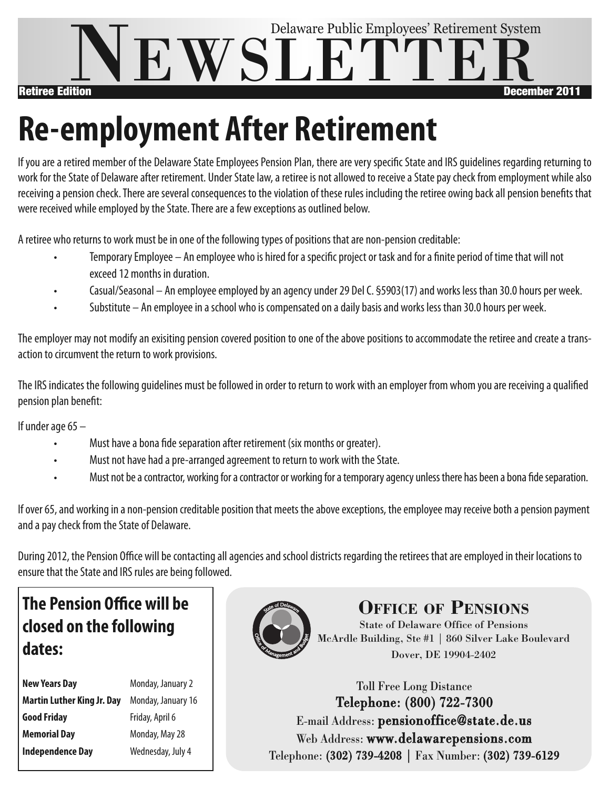

## **Re-employment After Retirement**

If you are a retired member of the Delaware State Employees Pension Plan, there are very specific State and IRS guidelines regarding returning to work for the State of Delaware after retirement. Under State law, a retiree is not allowed to receive a State pay check from employment while also receiving a pension check. There are several consequences to the violation of these rules including the retiree owing back all pension benefits that were received while employed by the State. There are a few exceptions as outlined below.

A retiree who returns to work must be in one of the following types of positions that are non-pension creditable:

- Temporary Employee An employee who is hired for a specific project or task and for a finite period of time that will not exceed12 months in duration.
- Casual/Seasonal An employee employed by an agency under 29 Del C. §5903(17) and works less than 30.0 hours per week.
- Substitute An employee in a school who is compensated on a daily basis and works less than 30.0 hours per week.

The employer may not modify an exisiting pension covered position to one of the above positions to accommodate the retiree and create a transaction to circumvent the return to work provisions.

The IRS indicates the following guidelines must be followed in order to return to work with an employer from whom you are receiving a gualified pension plan benefit:

If under age  $65 -$ 

- Must have a bona fide separation after retirement (six months or greater).
- Must not have had a pre-arranged agreement to return to work with the State.
- Must not be a contractor, working for a contractor or working for a temporary agency unless there has been a bona fide separation.

If over 65, and working in a non-pension creditable position that meets the above exceptions, the employee may receive both a pension payment and a pay check from the State of Delaware.

During 2012, the Pension Office will be contacting all agencies and school districts regarding the retirees that are employed in their locations to ensure that the State and IRS rules are being followed.

## **The Pension Office will be closed on the following dates:**

| Monday, January 2  |  |
|--------------------|--|
| Monday, January 16 |  |
| Friday, April 6    |  |
| Monday, May 28     |  |
| Wednesday, July 4  |  |
|                    |  |



**OFFICE OF PENSIONS**

State of Delaware Office of Pensions McArdle Building, Ste #1 | 860 Silver Lake Boulevard Dover, DE 19904-2402

Toll Free Long Distance Telephone: (800) 722-7300 E-mail Address: pensionoffice@state.de.us Web Address: www.delawarepensions.com Telephone: (302) 739-4208 | Fax Number: (302) 739-6129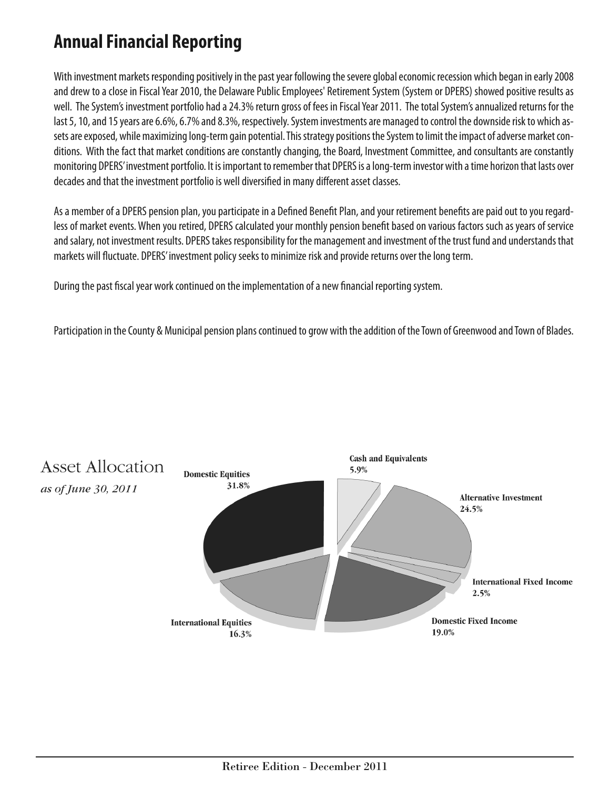### **AnnualFinancial Reporting**

With investment markets responding positively in the past year following the severe global economic recession which began in early 2008 and drew to a close in Fiscal Year 2010, the Delaware Public Employees' Retirement System (System or DPERS) showed positive results as well. The System's investment portfolio had a 24.3% return gross of fees in Fiscal Year 2011. The total System's annualized returns for the last 5, 10, and 15 years are 6.6%, 6.7% and 8.3%, respectively. System investments are managed to control the downside risk to which assets are exposed, while maximizing long-term gain potential. This strategy positions the System to limit the impact of adverse market conditions. With the fact that market conditions are constantly changing, the Board, Investment Committee, and consultants are constantly monitoring DPERS' investment portfolio. It is important to remember that DPERS is a long-term investor with a time horizon that lasts over decades and that the investment portfolio is well diversified in many different asset classes.

As a member of a DPERS pension plan, you participate in a Defined Benefit Plan, and your retirement benefits are paid out to you regardless of market events. When you retired, DPERS calculated your monthly pension benefit based on various factors such as years of service and salary, not investment results. DPERS takes responsibility for the management and investment of the trust fund and understands that markets will fluctuate. DPERS' investment policy seeks to minimize risk and provide returns over the long term.

During the past fiscal year work continued on the implementation of a new financial reporting system.

Participation in the County & Municipal pension plans continued to grow with the addition of the Town of Greenwood and Town of Blades.

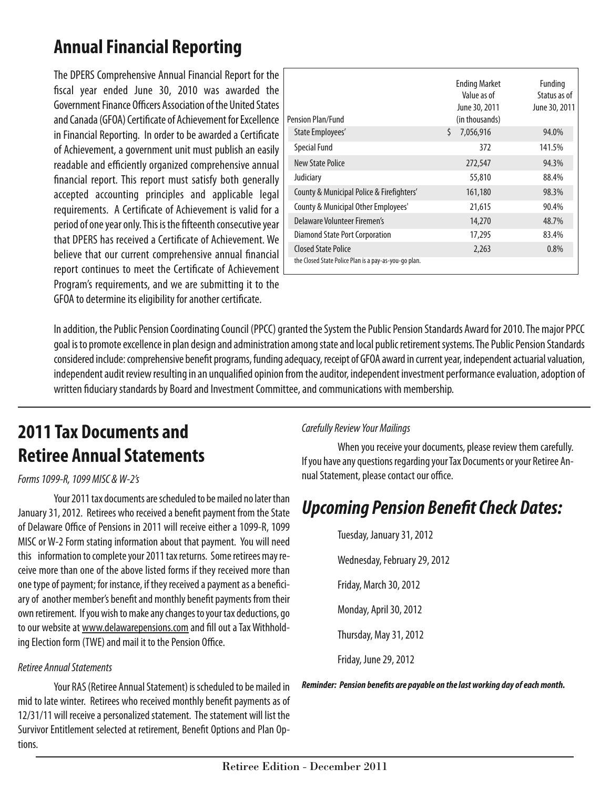## **AnnualFinancial Reporting**

The DPERS Comprehensive Annual Financial Report for the fiscal year ended June 30, 2010 was awarded the Government Finance Officers Association of the United States and Canada (GFOA) Certificate of Achievement for Excellence in Financial Reporting. In order to be awarded a Certificate of Achievement, a government unit must publish an easily readable and efficiently organized comprehensive annual financial report. This report must satisfy both generally accepted accounting principles and applicable legal requirements. A Certificate of Achievement is valid for a period of one year only. This is the fifteenth consecutive year that DPERS has received a Certificate of Achievement. We believe that our current comprehensive annual financial report continues to meet the Certificate of Achievement Program's requirements, and we are submitting it to the GFOA to determine its eligibility for another certificate.

| Pension Plan/Fund                                                                   | <b>Ending Market</b><br>Value as of<br>June 30, 2011<br>(in thousands) | Funding<br>Status as of<br>June 30, 2011 |
|-------------------------------------------------------------------------------------|------------------------------------------------------------------------|------------------------------------------|
| State Employees'                                                                    | Ś.<br>7,056,916                                                        | 94.0%                                    |
| <b>Special Fund</b>                                                                 | 372                                                                    | 141.5%                                   |
| <b>New State Police</b>                                                             | 272,547                                                                | 94.3%                                    |
| Judiciary                                                                           | 55,810                                                                 | 88.4%                                    |
| County & Municipal Police & Firefighters'                                           | 161,180                                                                | 98.3%                                    |
| County & Municipal Other Employees'                                                 | 21,615                                                                 | 90.4%                                    |
| Delaware Volunteer Firemen's                                                        | 14,270                                                                 | 48.7%                                    |
| <b>Diamond State Port Corporation</b>                                               | 17,295                                                                 | 83.4%                                    |
| <b>Closed State Police</b><br>the Closed State Police Plan is a pay-as-you-go plan. | 2,263                                                                  | 0.8%                                     |

In addition, the Public Pension Coordinating Council (PPCC) granted the System the Public Pension Standards Award for 2010. The major PPCC goal is to promote excellence in plan design and administration among state and local public retirement systems. The Public Pension Standards considered include: comprehensive benefit programs, funding adequacy, receipt of GFOA award in current year, independent actuarial valuation, independent audit review resulting in an unqualified opinion from the auditor, independent investment performance evaluation, adoption of written fiduciary standards by Board and Investment Committee, and communications with membership.

## **2011 Tax Documents and Retiree Annual Statements**

#### *Forms1099-R,1099 MISC &W-2's*

Your 2011 tax documents are scheduled to be mailed no later than January 31, 2012. Retirees who received a benefit payment from the State of Delaware Office of Pensions in 2011 will receive either a 1099-R, 1099 MISC or W-2 Form stating information about that payment. You will need this information to complete your 2011 tax returns. Some retirees may receive more than one of the above listed forms if they received more than one type of payment; for instance, if they received a payment as a beneficiary of another member's benefit and monthly benefit payments from their own retirement. If you wish to make any changes to your tax deductions, go to our website at www.delawarepensions.com and fill out a Tax Withholding Election form (TWE) and mail it to the Pension Office.

#### *Retiree AnnualStatements*

Your RAS (Retiree Annual Statement) is scheduled to be mailed in mid to late winter. Retirees who received monthly benefit payments as of 12/31/11 will receive a personalized statement. The statement will list the Survivor Entitlement selected at retirement, Benefit Options and Plan Options.

#### *CarefullyReview Your Mailings*

When you receive your documents, please review them carefully. If you have any questions regarding your Tax Documents or your Retiree Annual Statement, please contact our office.

### *Upcoming Pension BenefitCheck Dates:*

Tuesday, January 31, 2012 Wednesday, February 29, 2012 Friday, March 30,2012 Monday, April 30, 2012 Thursday, May31,2012 Friday, June29,2012

*Reminder: Pension benefits are payable on thelastworking day ofeachmonth.*